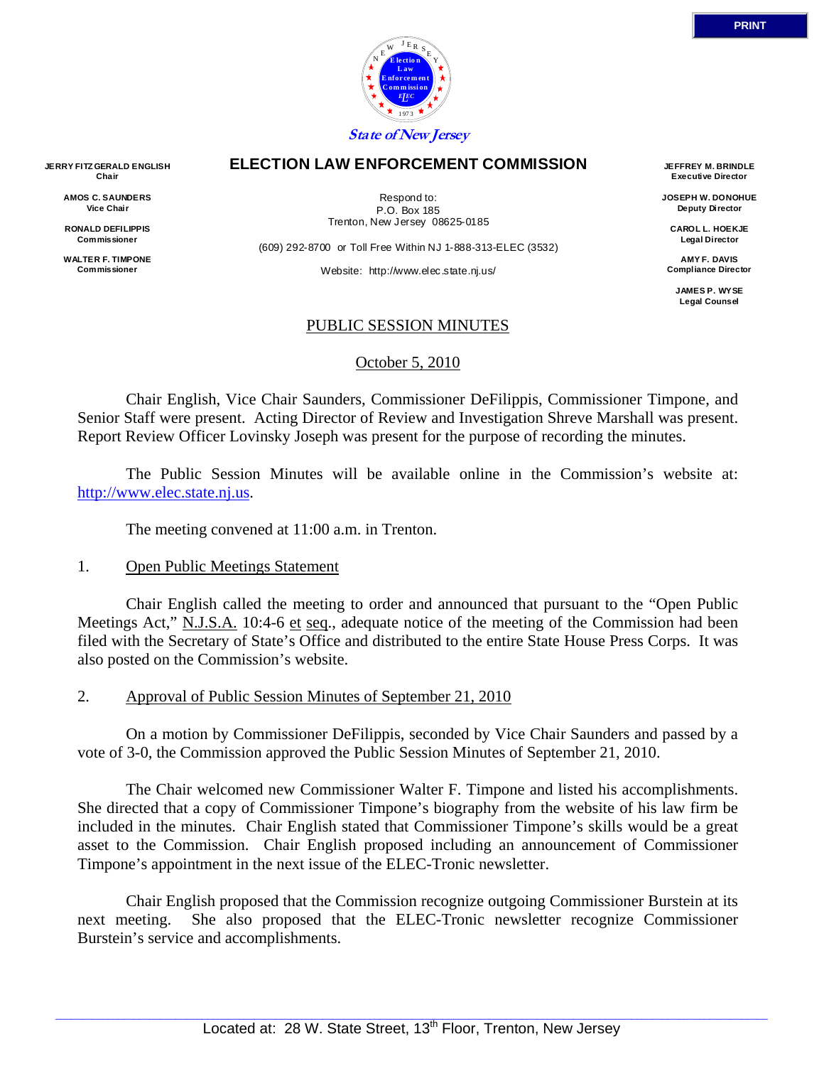

#### **ELECTION LAW ENFORCEMENT COMMISSION**

Respond to: P.O. Box 185 Trenton, New Jersey 08625-0185

(609) 292-8700 or Toll Free Within NJ 1-888-313-ELEC (3532)

Website: http://www.elec.state.nj.us/

**JEFFREY M. BRINDLE Executive Director** 

**JOSEPH W. DONOHUE Deputy Director** 

**CAROL L. HOEKJE Legal Director** 

**AMY F. DAVIS Compliance Director** 

> **JAMES P. WYSE Legal Counsel**

### PUBLIC SESSION MINUTES

October 5, 2010

 Chair English, Vice Chair Saunders, Commissioner DeFilippis, Commissioner Timpone, and Senior Staff were present. Acting Director of Review and Investigation Shreve Marshall was present. Report Review Officer Lovinsky Joseph was present for the purpose of recording the minutes.

 The Public Session Minutes will be available online in the Commission's website at: http://www.elec.state.nj.us.

The meeting convened at 11:00 a.m. in Trenton.

### 1. Open Public Meetings Statement

 Chair English called the meeting to order and announced that pursuant to the "Open Public Meetings Act," N.J.S.A. 10:4-6 et seq., adequate notice of the meeting of the Commission had been filed with the Secretary of State's Office and distributed to the entire State House Press Corps. It was also posted on the Commission's website.

2. Approval of Public Session Minutes of September 21, 2010

 On a motion by Commissioner DeFilippis, seconded by Vice Chair Saunders and passed by a vote of 3-0, the Commission approved the Public Session Minutes of September 21, 2010.

 The Chair welcomed new Commissioner Walter F. Timpone and listed his accomplishments. She directed that a copy of Commissioner Timpone's biography from the website of his law firm be included in the minutes. Chair English stated that Commissioner Timpone's skills would be a great asset to the Commission. Chair English proposed including an announcement of Commissioner Timpone's appointment in the next issue of the ELEC-Tronic newsletter.

 Chair English proposed that the Commission recognize outgoing Commissioner Burstein at its next meeting. She also proposed that the ELEC-Tronic newsletter recognize Commissioner Burstein's service and accomplishments.

**JERRY FITZ GERALD ENGLISH Chair** 

> **AMOS C. SAUNDERS Vice Chair**

**RONALD DEFILIPPIS Commissioner** 

**WALTER F. TIMPONE Commissioner**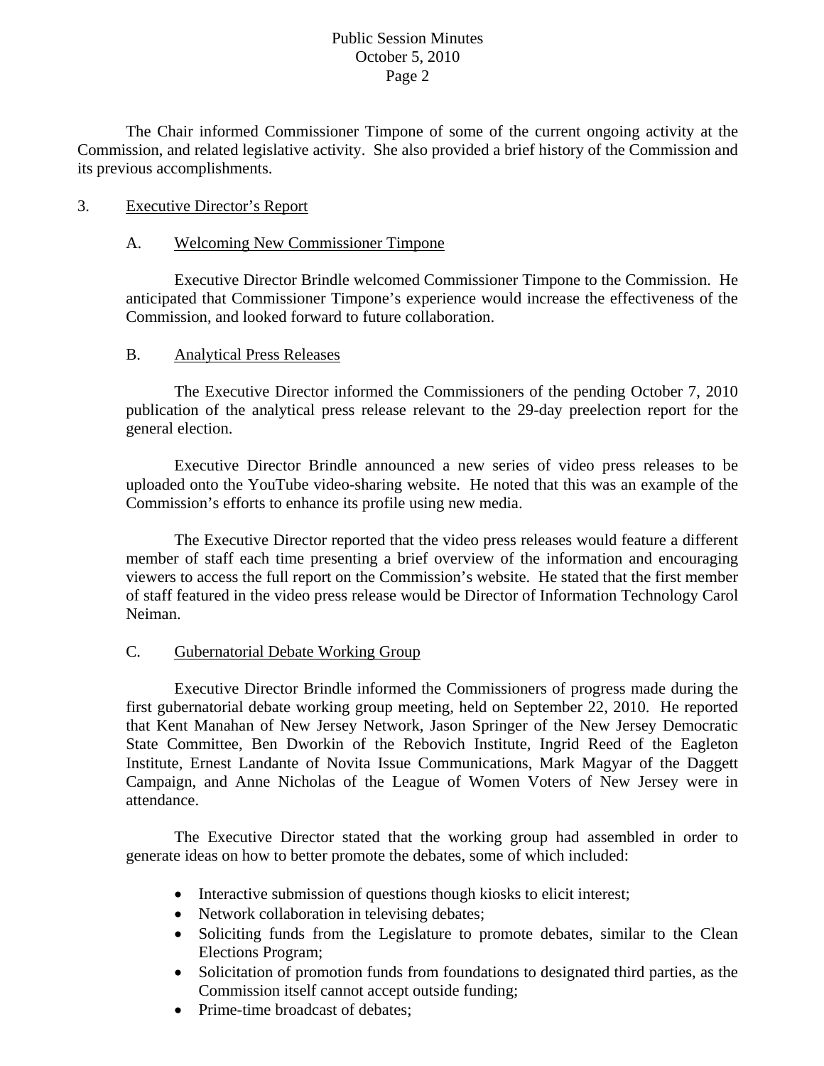## Public Session Minutes October 5, 2010 Page 2

 The Chair informed Commissioner Timpone of some of the current ongoing activity at the Commission, and related legislative activity. She also provided a brief history of the Commission and its previous accomplishments.

## 3. Executive Director's Report

## A. Welcoming New Commissioner Timpone

Executive Director Brindle welcomed Commissioner Timpone to the Commission. He anticipated that Commissioner Timpone's experience would increase the effectiveness of the Commission, and looked forward to future collaboration.

### B. Analytical Press Releases

 The Executive Director informed the Commissioners of the pending October 7, 2010 publication of the analytical press release relevant to the 29-day preelection report for the general election.

 Executive Director Brindle announced a new series of video press releases to be uploaded onto the YouTube video-sharing website. He noted that this was an example of the Commission's efforts to enhance its profile using new media.

 The Executive Director reported that the video press releases would feature a different member of staff each time presenting a brief overview of the information and encouraging viewers to access the full report on the Commission's website. He stated that the first member of staff featured in the video press release would be Director of Information Technology Carol Neiman.

# C. Gubernatorial Debate Working Group

 Executive Director Brindle informed the Commissioners of progress made during the first gubernatorial debate working group meeting, held on September 22, 2010. He reported that Kent Manahan of New Jersey Network, Jason Springer of the New Jersey Democratic State Committee, Ben Dworkin of the Rebovich Institute, Ingrid Reed of the Eagleton Institute, Ernest Landante of Novita Issue Communications, Mark Magyar of the Daggett Campaign, and Anne Nicholas of the League of Women Voters of New Jersey were in attendance.

 The Executive Director stated that the working group had assembled in order to generate ideas on how to better promote the debates, some of which included:

- Interactive submission of questions though kiosks to elicit interest;
- Network collaboration in televising debates;
- Soliciting funds from the Legislature to promote debates, similar to the Clean Elections Program;
- Solicitation of promotion funds from foundations to designated third parties, as the Commission itself cannot accept outside funding;
- Prime-time broadcast of debates: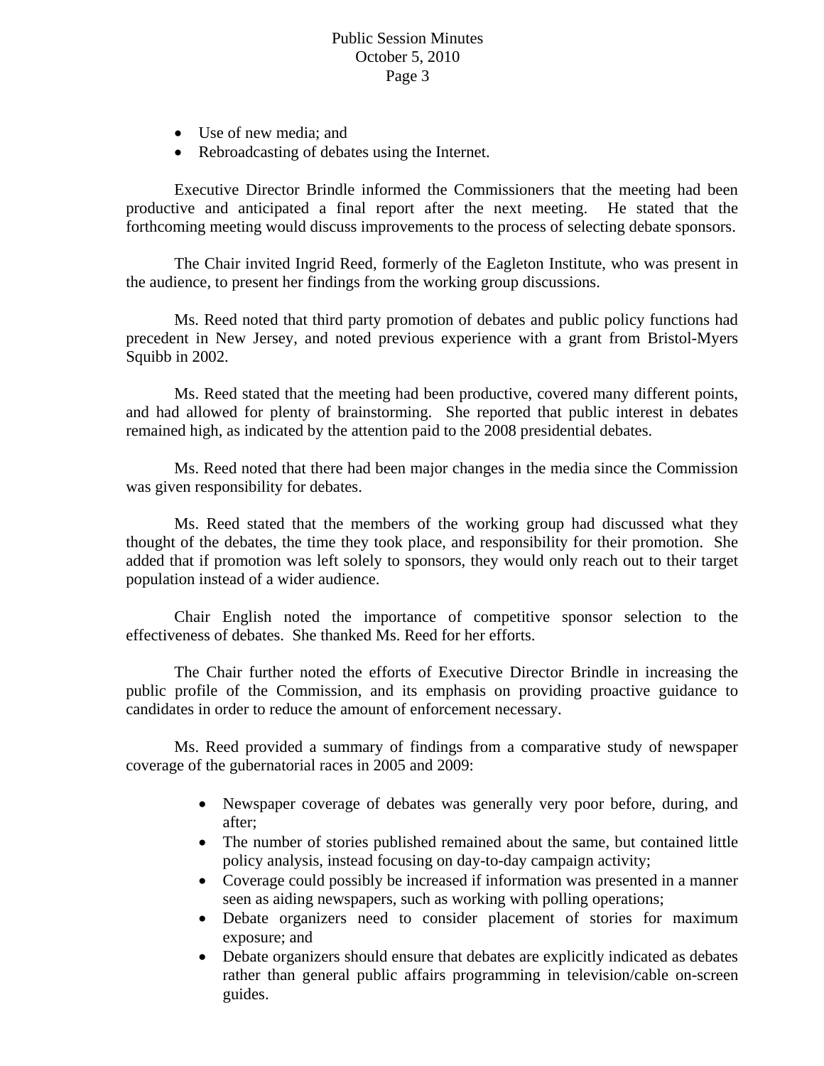- Use of new media; and
- Rebroadcasting of debates using the Internet.

Executive Director Brindle informed the Commissioners that the meeting had been productive and anticipated a final report after the next meeting. He stated that the forthcoming meeting would discuss improvements to the process of selecting debate sponsors.

 The Chair invited Ingrid Reed, formerly of the Eagleton Institute, who was present in the audience, to present her findings from the working group discussions.

 Ms. Reed noted that third party promotion of debates and public policy functions had precedent in New Jersey, and noted previous experience with a grant from Bristol-Myers Squibb in 2002.

 Ms. Reed stated that the meeting had been productive, covered many different points, and had allowed for plenty of brainstorming. She reported that public interest in debates remained high, as indicated by the attention paid to the 2008 presidential debates.

 Ms. Reed noted that there had been major changes in the media since the Commission was given responsibility for debates.

 Ms. Reed stated that the members of the working group had discussed what they thought of the debates, the time they took place, and responsibility for their promotion. She added that if promotion was left solely to sponsors, they would only reach out to their target population instead of a wider audience.

 Chair English noted the importance of competitive sponsor selection to the effectiveness of debates. She thanked Ms. Reed for her efforts.

 The Chair further noted the efforts of Executive Director Brindle in increasing the public profile of the Commission, and its emphasis on providing proactive guidance to candidates in order to reduce the amount of enforcement necessary.

Ms. Reed provided a summary of findings from a comparative study of newspaper coverage of the gubernatorial races in 2005 and 2009:

- Newspaper coverage of debates was generally very poor before, during, and after;
- The number of stories published remained about the same, but contained little policy analysis, instead focusing on day-to-day campaign activity;
- Coverage could possibly be increased if information was presented in a manner seen as aiding newspapers, such as working with polling operations;
- Debate organizers need to consider placement of stories for maximum exposure; and
- Debate organizers should ensure that debates are explicitly indicated as debates rather than general public affairs programming in television/cable on-screen guides.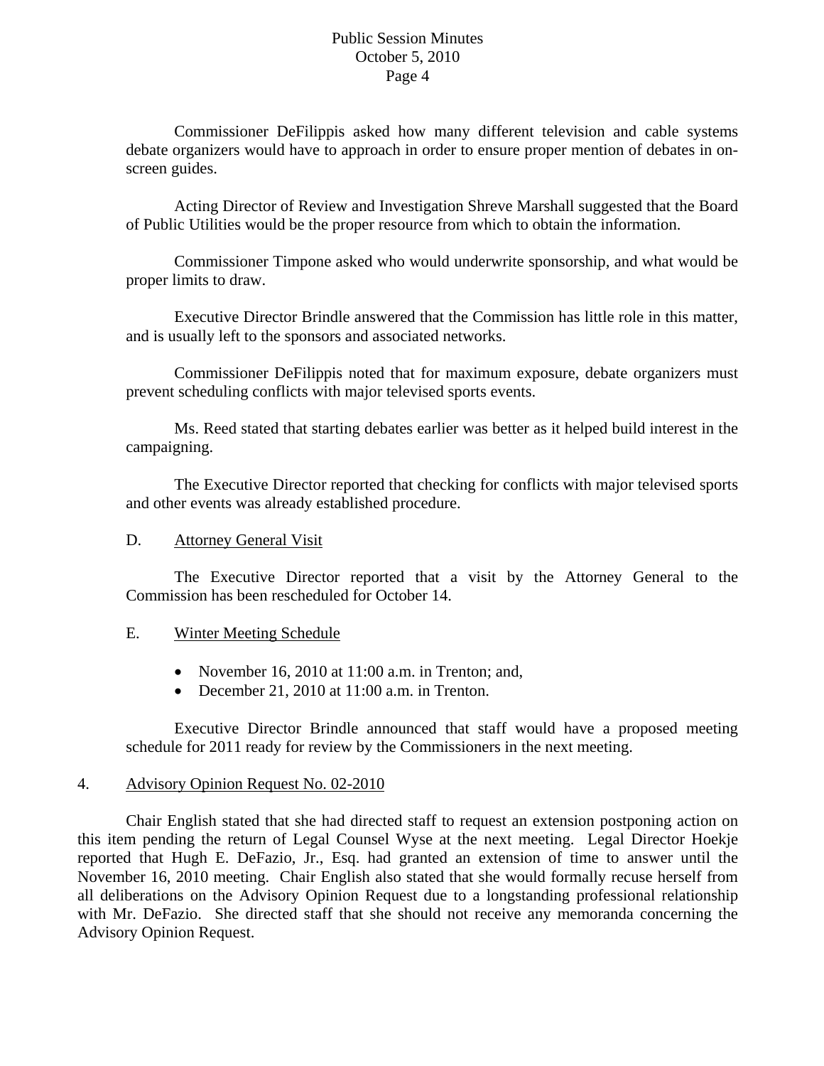## Public Session Minutes October 5, 2010 Page 4

Commissioner DeFilippis asked how many different television and cable systems debate organizers would have to approach in order to ensure proper mention of debates in onscreen guides.

Acting Director of Review and Investigation Shreve Marshall suggested that the Board of Public Utilities would be the proper resource from which to obtain the information.

Commissioner Timpone asked who would underwrite sponsorship, and what would be proper limits to draw.

Executive Director Brindle answered that the Commission has little role in this matter, and is usually left to the sponsors and associated networks.

Commissioner DeFilippis noted that for maximum exposure, debate organizers must prevent scheduling conflicts with major televised sports events.

Ms. Reed stated that starting debates earlier was better as it helped build interest in the campaigning.

The Executive Director reported that checking for conflicts with major televised sports and other events was already established procedure.

### D. Attorney General Visit

The Executive Director reported that a visit by the Attorney General to the Commission has been rescheduled for October 14.

### E. Winter Meeting Schedule

- November 16, 2010 at 11:00 a.m. in Trenton; and,
- December 21, 2010 at 11:00 a.m. in Trenton.

Executive Director Brindle announced that staff would have a proposed meeting schedule for 2011 ready for review by the Commissioners in the next meeting.

### 4. Advisory Opinion Request No. 02-2010

 Chair English stated that she had directed staff to request an extension postponing action on this item pending the return of Legal Counsel Wyse at the next meeting. Legal Director Hoekje reported that Hugh E. DeFazio, Jr., Esq. had granted an extension of time to answer until the November 16, 2010 meeting. Chair English also stated that she would formally recuse herself from all deliberations on the Advisory Opinion Request due to a longstanding professional relationship with Mr. DeFazio. She directed staff that she should not receive any memoranda concerning the Advisory Opinion Request.